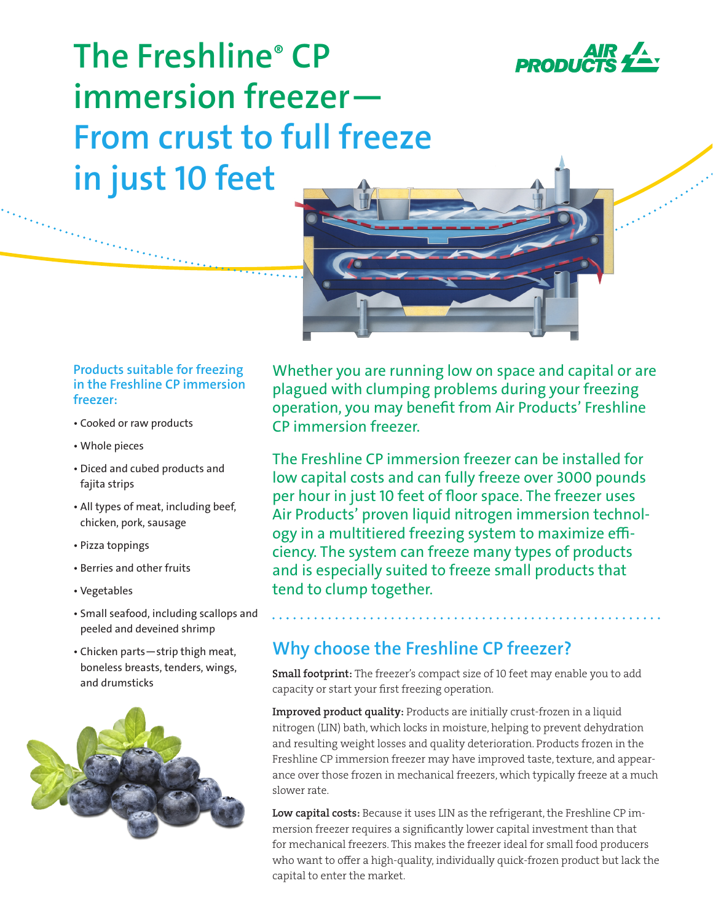

**The Freshline® CP immersion freezer— From crust to full freeze in just 10 feet**

### **Products suitable for freezing in the Freshline CP immersion freezer:**

- Cooked or raw products
- Whole pieces
- Diced and cubed products and fajita strips
- All types of meat, including beef, chicken, pork, sausage
- Pizza toppings
- Berries and other fruits
- Vegetables
- Small seafood, including scallops and peeled and deveined shrimp
- Chicken parts—strip thigh meat, boneless breasts, tenders, wings, and drumsticks



Whether you are running low on space and capital or are plagued with clumping problems during your freezing operation, you may benefit from Air Products' Freshline CP immersion freezer.

The Freshline CP immersion freezer can be installed for low capital costs and can fully freeze over 3000 pounds per hour in just 10 feet of floor space. The freezer uses Air Products' proven liquid nitrogen immersion technology in a multitiered freezing system to maximize efficiency. The system can freeze many types of products and is especially suited to freeze small products that tend to clump together.

### **Why choose the Freshline CP freezer?**

Small footprint: The freezer's compact size of 10 feet may enable you to add capacity or start your first freezing operation.

Improved product quality: Products are initially crust-frozen in a liquid nitrogen (LIN) bath, which locks in moisture, helping to prevent dehydration and resulting weight losses and quality deterioration. Products frozen in the Freshline CP immersion freezer may have improved taste, texture, and appearance over those frozen in mechanical freezers, which typically freeze at a much slower rate.

Low capital costs: Because it uses LIN as the refrigerant, the Freshline CP immersion freezer requires a significantly lower capital investment than that for mechanical freezers. This makes the freezer ideal for small food producers who want to offer a high-quality, individually quick-frozen product but lack the capital to enter the market.